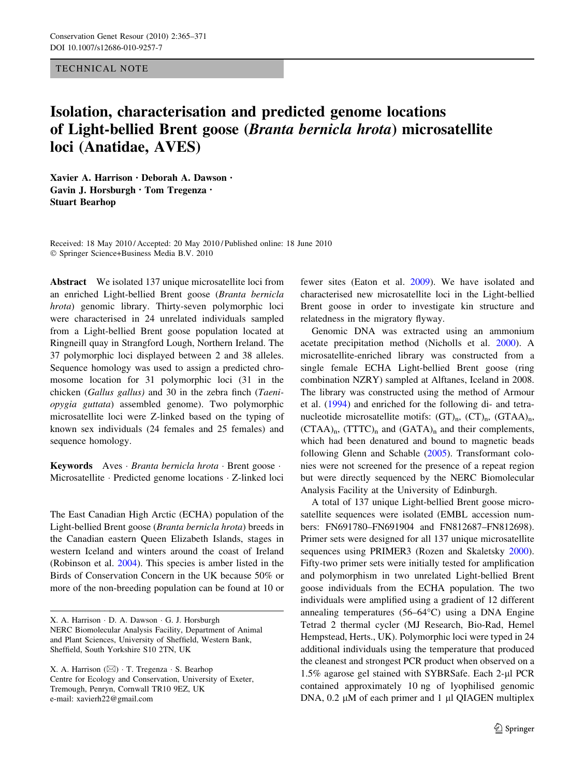TECHNICAL NOTE

## Isolation, characterisation and predicted genome locations of Light-bellied Brent goose (Branta bernicla hrota) microsatellite loci (Anatidae, AVES)

Xavier A. Harrison • Deborah A. Dawson • Gavin J. Horsburgh • Tom Tregenza • Stuart Bearhop

Received: 18 May 2010 / Accepted: 20 May 2010 / Published online: 18 June 2010 - Springer Science+Business Media B.V. 2010

Abstract We isolated 137 unique microsatellite loci from an enriched Light-bellied Brent goose (Branta bernicla hrota) genomic library. Thirty-seven polymorphic loci were characterised in 24 unrelated individuals sampled from a Light-bellied Brent goose population located at Ringneill quay in Strangford Lough, Northern Ireland. The 37 polymorphic loci displayed between 2 and 38 alleles. Sequence homology was used to assign a predicted chromosome location for 31 polymorphic loci (31 in the chicken (Gallus gallus) and 30 in the zebra finch (Taeniopygia guttata) assembled genome). Two polymorphic microsatellite loci were Z-linked based on the typing of known sex individuals (24 females and 25 females) and sequence homology.

Keywords Aves · Branta bernicla hrota · Brent goose · Microsatellite · Predicted genome locations · Z-linked loci

The East Canadian High Arctic (ECHA) population of the Light-bellied Brent goose (Branta bernicla hrota) breeds in the Canadian eastern Queen Elizabeth Islands, stages in western Iceland and winters around the coast of Ireland (Robinson et al. [2004\)](#page-6-0). This species is amber listed in the Birds of Conservation Concern in the UK because 50% or more of the non-breeding population can be found at 10 or fewer sites (Eaton et al. [2009\)](#page-5-0). We have isolated and characterised new microsatellite loci in the Light-bellied Brent goose in order to investigate kin structure and relatedness in the migratory flyway.

Genomic DNA was extracted using an ammonium acetate precipitation method (Nicholls et al. [2000](#page-6-0)). A microsatellite-enriched library was constructed from a single female ECHA Light-bellied Brent goose (ring combination NZRY) sampled at Alftanes, Iceland in 2008. The library was constructed using the method of Armour et al. ([1994\)](#page-5-0) and enriched for the following di- and tetranucleotide microsatellite motifs:  $(GT)_n$ ,  $(T)_n$ ,  $(GTAA)_n$ ,  $(CTAA)_{n}$ ,  $(TTTC)_{n}$  and  $(GATA)_{n}$  and their complements, which had been denatured and bound to magnetic beads following Glenn and Schable [\(2005](#page-5-0)). Transformant colonies were not screened for the presence of a repeat region but were directly sequenced by the NERC Biomolecular Analysis Facility at the University of Edinburgh.

A total of 137 unique Light-bellied Brent goose microsatellite sequences were isolated (EMBL accession numbers: FN691780–FN691904 and FN812687–FN812698). Primer sets were designed for all 137 unique microsatellite sequences using PRIMER3 (Rozen and Skaletsky [2000](#page-6-0)). Fifty-two primer sets were initially tested for amplification and polymorphism in two unrelated Light-bellied Brent goose individuals from the ECHA population. The two individuals were amplified using a gradient of 12 different annealing temperatures  $(56-64^{\circ}C)$  using a DNA Engine Tetrad 2 thermal cycler (MJ Research, Bio-Rad, Hemel Hempstead, Herts., UK). Polymorphic loci were typed in 24 additional individuals using the temperature that produced the cleanest and strongest PCR product when observed on a 1.5% agarose gel stained with SYBRSafe. Each 2-µl PCR contained approximately 10 ng of lyophilised genomic DNA,  $0.2 \mu M$  of each primer and 1  $\mu$ l QIAGEN multiplex

X. A. Harrison - D. A. Dawson - G. J. Horsburgh NERC Biomolecular Analysis Facility, Department of Animal and Plant Sciences, University of Sheffield, Western Bank, Sheffield, South Yorkshire S10 2TN, UK

X. A. Harrison (&) - T. Tregenza - S. Bearhop Centre for Ecology and Conservation, University of Exeter, Tremough, Penryn, Cornwall TR10 9EZ, UK e-mail: xavierh22@gmail.com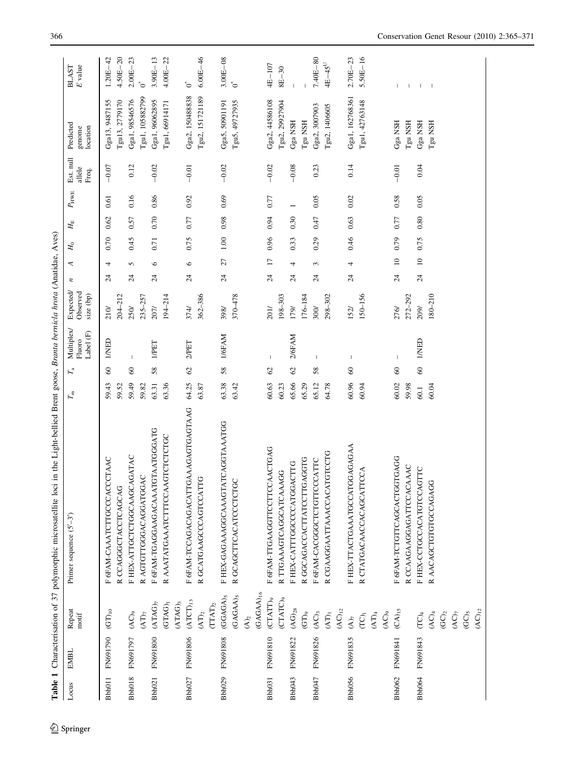<span id="page-1-0"></span>

| Table 1 |          |                                     | Characterisation of 37 polymorphic microsatellite loci in the Light-bellied Brent goose, Branta bernicla hrota (Anatidae, Aves) |                                                                  |                                              |                                    |                 |                 |       |             |                          |                              |                                    |                                         |
|---------|----------|-------------------------------------|---------------------------------------------------------------------------------------------------------------------------------|------------------------------------------------------------------|----------------------------------------------|------------------------------------|-----------------|-----------------|-------|-------------|--------------------------|------------------------------|------------------------------------|-----------------------------------------|
| Locus   | EMBL     | Repeat<br>$\mathop{\rm moit}$       | Primer sequence $(5'-3')$                                                                                                       | $\Gamma_{\rm a}$<br>$\varGamma_{\!\scriptscriptstyle\mathrm{m}}$ | Multiplex/<br>Fluoro<br>Label $(\mathbb{F})$ | Expected/<br>Observed<br>size (bp) | $\overline{r}$  | ⋖               | $H_0$ | $H_{\rm E}$ | $P_{\rm HWE}$            | Est. null<br>allele<br>Freq. | Predicted<br>genome<br>location    | $\cal E$ value<br><b>BLAST</b>          |
| Bbh011  | FN691790 | $\mathrm{(GT)_{10}}$                | F 6FAM-CAAATCTTGCCCACCCTAAC<br>R CCAGGGCTACCTCAGCAG                                                                             | $\pmb{\mathcal{S}}$<br>59.43<br>59.52                            | <b>UNED</b>                                  | $204 - 212$<br>$210\sqrt{ }$       | $\overline{24}$ | 4               | 0.70  | 0.62        | 0.61                     | $-0.07$                      | Gga13, 9487155<br>[gu13, 2779170   | $4.50E - 20$<br>$1.20E - 42$            |
| Bbh018  | FN691797 | $(AC)_9$<br>$(AT)_{7}$              | F HEX-ATTGCTCTGGCAAGCAGATAC<br>R AGTGTTGGGACAGGATGGAC                                                                           | $\infty$<br>59.49<br>59.82                                       | $\mathbf{I}$                                 | $235 - 257$<br>250/                | $\overline{24}$ | 5               | 0.45  | 0.57        | 0.16                     | 0.12                         | [gu1, 105882799<br>Gga1, 98546576  | $2.00E - 23$<br>$\mathring{\circ}$      |
| Bbh021  | FN691800 | $(ATAG)_{7}$                        | F 6FAM-TGAGGAAGACAAATGTAATGGGATG                                                                                                | 58<br>63.31                                                      | <b>I/PET</b>                                 | 207/                               | $\overline{24}$ | $\circ$         | 0.71  | 0.70        | 0.86                     | $-0.02$                      | Gga1, 96062895                     | $3.90E - 13$                            |
|         |          | $(ATAG)_3$<br>(TAG)                 | R AAATATGAAATCITTCCAAGTCTCTGC                                                                                                   | 63.36                                                            |                                              | 194-214                            |                 |                 |       |             |                          |                              | Tgu1, 66914171                     | $4.00E - 22$                            |
| Bbh027  | FN691806 | $\rm{(ATCT)_{13}}$<br>$\rm{(AT)_2}$ | F 6FAM-TCCAGACAGACATTGAAAGAGTGAGTAAG<br>R GCATGAAGCCCAGTCCATTG                                                                  | $\mathcal{O}$<br>64.25<br>63.87                                  | 2/PET                                        | 362-386<br>374/                    | $\overline{24}$ | $\circ$         | 0.75  | 0.77        | 0.92                     | $-0.01$                      | Gga2, 150488838<br>Tgu2, 151721189 | $6.00E - 46$<br>$\mathbf{C}^*$          |
|         |          | $(TAT)_2$                           |                                                                                                                                 |                                                                  |                                              |                                    |                 |                 |       |             |                          |                              |                                    |                                         |
| Bbh029  | FN691808 | $(GGAGA)_{5}$<br>$(GAGAA)_{5}$      | <b>IATCAGGTAAATGG</b><br>GC<br>F HEX-GAGAAAGGCAAAG<br>R GCAGCTTCACATCCTCT                                                       | 58<br>63.38<br>63.42                                             | 1/6FAM                                       | 370-478<br>398/                    | $\overline{24}$ | 27              | 1.00  | 0.98        | 0.69                     | $-0.02$                      | Tgu5, 49727935<br>Gga5, 50901191   | $3.00E - 08$<br>$\mathring{\mathbb{C}}$ |
|         |          | $(GAGAA)_{16}$<br>$\widetilde{A}_2$ |                                                                                                                                 |                                                                  |                                              |                                    |                 |                 |       |             |                          |                              |                                    |                                         |
| Bbh031  | FN691810 | (CTATT) <sub>9</sub>                | F 6FAM-TTGAAGGTTCCTTCCAACTGAG                                                                                                   | $\mathcal{O}$<br>60.63                                           | $\mathbf{I}$                                 | 201/                               | $\overline{24}$ | $\overline{17}$ | 0.96  | 0.94        | 0.77                     | $-0.02$                      | Gga2, 44586108                     | 4E-107                                  |
|         |          | (CTATC) <sub>9</sub>                | R TTGAAAGTCAGGCATCAAAGG                                                                                                         | 60.23                                                            |                                              | 198-303                            |                 |                 |       |             |                          |                              | Fgu2, 29927904                     | $8E-30$                                 |
| Bbh043  | FN691822 | $\rm (AG)_{28}$<br>$(GT)_{9}$       | R GGCAGACCACTTATCCTTGAGGTG<br>F HEX-CATTTGGCCCCATGGACTTG                                                                        | $\mathcal{O}$<br>65.66<br>65.29                                  | 2/6FAM                                       | 176-184<br>179/                    | $\overline{24}$ | 4               | 0.33  | 0.30        | $\overline{\phantom{0}}$ | $-0.08$                      | Gga NSH<br>Tgu NSH                 |                                         |
| Bbh047  | FN691826 | $(AC)_3$                            | F 6FAM-CACGGGCTCTGTTCCCATTC                                                                                                     | 58<br>65.12                                                      | $\mathsf I$                                  | 300/                               | $\overline{24}$ | 3               | 0.29  | 0.47        | 0.05                     | 0.23                         | Gga2, 3007903                      | $7.40E - 80$                            |
|         |          | $\rm{(AT)_1}$                       | R CGAAGGAATTAAACCACATGTCCTG                                                                                                     | 64.78                                                            |                                              | 298-302                            |                 |                 |       |             |                          |                              | Tgu2, 1406605                      | $4E-45$ <sup>U</sup>                    |
| Bbh056  | FN691835 | $(AC)_{12}$<br>$(\mathbf{A})_7$     | F HEX-TTACTGAAATGCCATGGAGAGAA                                                                                                   | $\pmb{\mathbb{S}}$<br>60.96                                      | $\mathbf{I}$                                 | 152/                               | $\overline{24}$ | 4               | 0.46  | 0.63        | 0.02                     | 0.14                         | Gga1, 162768361                    | $2.70E - 23$                            |
|         |          | $\widetilde{\text{CD}}_1$           | R CTATGACAACCACAGCATTCCA                                                                                                        | 60.94                                                            |                                              | 150-156                            |                 |                 |       |             |                          |                              | Tgu1, 42763148                     | $5.50E - 16$                            |
|         |          | $(AC)_9$<br>$(AT)_4$                |                                                                                                                                 |                                                                  |                                              |                                    |                 |                 |       |             |                          |                              |                                    |                                         |
| Bbh062  | FN691841 | $(CA)$ <sub>15</sub>                | F 6FAM-TCTGTTCAGCACTGGTGAGG                                                                                                     | $\infty$<br>60.02                                                | $\mathbf{I}$                                 | 276/                               | $\overline{24}$ | $\square$       | 0.79  | 0.77        | 0.58                     | $-0.01$                      | Gga NSH                            |                                         |
|         |          |                                     | R CCAAGAAGGAGATTCCACAAAC                                                                                                        | 59.98                                                            |                                              | 272-292                            |                 |                 |       |             |                          |                              | Tgu NSH                            | $\mathbf{1}$ $\mathbf{1}$               |
| Bbh064  | FN691843 | $(TC)_4$                            | F HEX-CCTGCCACATGTCCAGTTC                                                                                                       | $\degree$<br>60.1                                                | <b>UNED</b>                                  | 209/                               | $\overline{24}$ | $\supseteq$     | 0.75  | $0.80\,$    | 0.05                     | 0.04                         | Gga NSH                            |                                         |
|         |          | $\rm{(AC)_4}$<br>(GC) <sub>2</sub>  | R AACAGCTGTGTGCCAGAGG                                                                                                           | 60.04                                                            |                                              | $180 - 210$                        |                 |                 |       |             |                          |                              | Tgu NSH                            | $\mathbf{I}$                            |
|         |          | $(\text{AC})_7$                     |                                                                                                                                 |                                                                  |                                              |                                    |                 |                 |       |             |                          |                              |                                    |                                         |
|         |          | $(GC)$ 5                            |                                                                                                                                 |                                                                  |                                              |                                    |                 |                 |       |             |                          |                              |                                    |                                         |
|         |          | $(AC)_{12}$                         |                                                                                                                                 |                                                                  |                                              |                                    |                 |                 |       |             |                          |                              |                                    |                                         |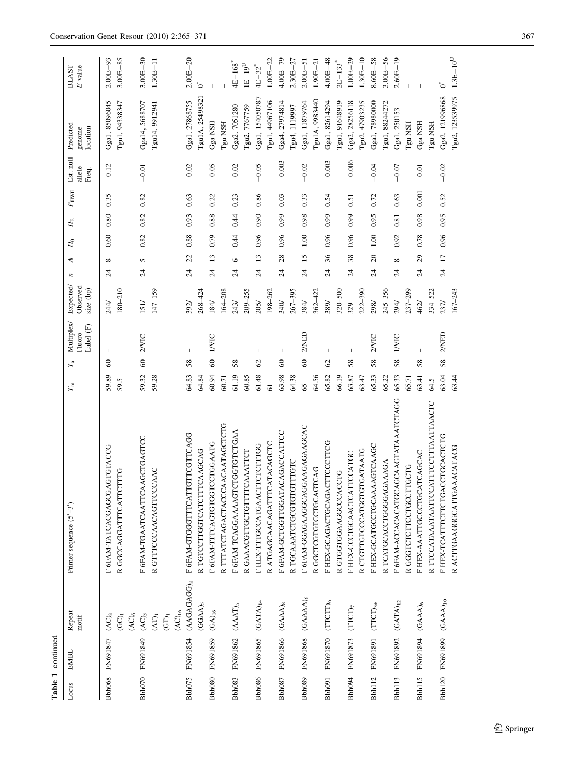|                    | Table 1 continued                    |                                  |                                      |                                                                                         |                                    |                  |                 |                 |             |                                  |           |                                 |                                                  |
|--------------------|--------------------------------------|----------------------------------|--------------------------------------|-----------------------------------------------------------------------------------------|------------------------------------|------------------|-----------------|-----------------|-------------|----------------------------------|-----------|---------------------------------|--------------------------------------------------|
| Locus              | EMBL                                 | Repeat<br>$m$ otif               | Primer sequence $(5'-3')$            | Multiplex/<br>Label (F)<br>Fluoro<br>$\Gamma_{\rm a}$<br>$T_{\scriptscriptstyle \rm m}$ | Expected/<br>Observed<br>size (bp) | $\boldsymbol{z}$ | 4               | $\mathcal{H}_0$ | $H_{\rm E}$ | allele<br>Freq.<br>$P_{\rm HWE}$ | Est. null | Predicted<br>genome<br>location | $\cal E$ value<br><b>BLAST</b>                   |
| Bbh068             | FN691847                             | $(AC)$ <sub>8</sub>              | F 6FAM-TATCACGAGCGAGTACCG            | $\mathbf{I}$<br>$\infty$<br>59.89                                                       | 244/                               | $\overline{24}$  | $\infty$        | 0.60            | 0.80        | 0.35                             | 0.12      | Gga1, 85096045                  | $2.00E - 93$                                     |
|                    |                                      | $\widetilde{\text{GC}}_1$        | R GGCCAGGATTTCATTCTTTG               | 59.5                                                                                    | $180 - 210$                        |                  |                 |                 |             |                                  |           | Tgu1, 94338347                  | $3.00E-85$                                       |
|                    |                                      | $(AC)_6$                         |                                      |                                                                                         |                                    |                  |                 |                 |             |                                  |           |                                 |                                                  |
|                    | Bbh070 FN691849                      | $\rm{(AC)}_3$                    | F 6FAM-TGAATCAATTCAAGCTGAGTCC        | 2VIC<br>60<br>59.32                                                                     | 151/                               | $\overline{24}$  | 5               | 0.82            | 0.82        | 0.82                             | $-0.01$   | Gga14, 5688707                  | $3.00E - 30$                                     |
|                    |                                      | $\left( \mathrm{AT}\right) _{1}$ | R GTTTCCCAACAGTTCCCAAC               | 59.28                                                                                   | 147-159                            |                  |                 |                 |             |                                  |           | Tgu14, 9912941                  | $1.30E-11$                                       |
|                    |                                      | $\widehat{\text{G}}$             |                                      |                                                                                         |                                    |                  |                 |                 |             |                                  |           |                                 |                                                  |
|                    |                                      | $(AC)_{16}$                      |                                      |                                                                                         |                                    |                  |                 |                 |             |                                  |           |                                 |                                                  |
| Bbh075             | FN691854                             | (AAGAGAGG) <sub>8</sub>          | F 6FAM-GTGGGTTTCATTGTTCGTTCAGG       | $\overline{\phantom{a}}$<br>58<br>64.83                                                 | 392/                               | $\overline{24}$  | 22              | 0.88            | 0.93        | 0.63                             | 0.02      | Gga1, 27868755                  | $2.00E - 20$                                     |
|                    |                                      | $(GGAA)_{5}$                     | R TGTCCTTGGTCATCTTTCAAGCAG           | 64.84                                                                                   | 268-424                            |                  |                 |                 |             |                                  |           | Tgu1A, 25498321                 | $\tilde{\mathbf{C}}^*$                           |
| Bbh080             | FN691859                             | $\rm{(GA)_{16}}$                 | F 6FAM-TTTCAGTGTGGTCCTGGAATG         | <b>IVVIC</b><br>$\pmb{\mathcal{S}}$<br>60.94                                            | 184/                               | $\overline{24}$  | $\overline{13}$ | 0.79            | 0.88        | 0.22                             | 0.05      | Gga NSH                         |                                                  |
|                    |                                      |                                  | R TTTATCTAGACTACCCAACAATAGCTCTG      | 60.71                                                                                   | $164 - 208$                        |                  |                 |                 |             |                                  |           | Tgu NSH                         |                                                  |
|                    | Bbh083 FN691862 (AAAT) <sub>5</sub>  |                                  | F 6FAM-TCAGGAAAAGTCTGGTGTCTGAA       | T<br>58<br>61.19                                                                        | 243/                               | $\overline{24}$  | $\circ$         | 0.44            | 0.44        | 0.23                             | 0.02      | Gga2, 7051280                   | $4E - 168$ <sup>*</sup>                          |
|                    |                                      |                                  | R GAAACGTTGCTGTTTCAAATTCT            | 60.85                                                                                   | 209-255                            |                  |                 |                 |             |                                  |           | Fgu2, 7767759                   | $\text{I}\,\text{E}-\text{I}\,\text{9}^\text{U}$ |
|                    | Bbh086 FN691865 (GATA) <sub>14</sub> |                                  | F HEX-TTTGCCATGAACTTCTCTTTGG         | J.<br>$\mathcal{O}$<br>61.48                                                            | 205/                               | $\overline{c}$   | $\mathbf{13}$   | 0.96            | 0.90        | 0.86                             | $-0.05$   | Gga1, 154050787                 | $4E - 32$ <sup>*</sup>                           |
|                    |                                      |                                  | R ATGAGCAACAGATTTCATACAGCTC          | $\overline{6}$                                                                          | 198-262                            |                  |                 |                 |             |                                  |           | Igu1, 44967106                  | $1.00E - 22$                                     |
|                    | Bbh087 FN691866 (GAAA) <sub>8</sub>  |                                  | F 6FAM-GCTGGTTGGATACAGACCATTCC       | $\overline{1}$<br>$\infty$<br>63.98                                                     | 340/                               | $\overline{24}$  | 28              | 0.96            | 0.99        | 0.03                             | 0.003     | Gga4, 27974814                  | $4.00E - 79$                                     |
|                    |                                      |                                  | R TGCAAATCTGCGTGTGTTTGTC             | 64.38                                                                                   | $267 - 395$                        |                  |                 |                 |             |                                  |           | Tgu4, 1119997                   | $2.30E - 27$                                     |
| Bbh089             | FN691868 (GAAAA)6                    |                                  | F 6FAM-GGAGAAGGCAGGAAGAAGCAC         | 2/NED<br>$\degree$<br>65                                                                | 384/                               | $\overline{24}$  | $\overline{15}$ | 1.00            | 0.98        | 0.33                             | $-0.02$   | Gga1, 11879764                  | $2.00E - 51$                                     |
|                    |                                      |                                  | R GGCTCGTGTCCTGCAGTCAG               | 64.56                                                                                   | 362-422                            |                  |                 |                 |             |                                  |           | Tgu1A, 9983440                  | $1.90E - 21$                                     |
| Bbh091             | FN691870                             | $(TTCTT)_{6}$                    | F HEX-GCAGACTGCAGACTTCCCTTCG         | T<br>$\mathcal{O}$<br>65.82                                                             | 389/                               | $\overline{24}$  | 36              | 0.96            | 6.99        | 0.54                             | 0.003     | Gga1, 82614294                  | $4.00E - 48$                                     |
|                    |                                      |                                  | R GTGGTGGAAGGCCCACCTG                | 66.19                                                                                   | 320-500                            |                  |                 |                 |             |                                  |           | Tgu1, 91648919                  | $2E-133$ <sup>*</sup>                            |
| Bbh094             | FN691873                             | (TTC)                            | F HEX-CCCTGCAACTCATTCCATGC           | T<br>58<br>63.87                                                                        | 329                                | $\overline{24}$  | 38              | 0.96            | 0.99        | 0.51                             | 0.006     | Gga2, 28256118                  | $.00E - 29$                                      |
|                    |                                      |                                  | R CTGTTGTCCCATGGTGTGATAATG           | 63.47                                                                                   | 222-390                            |                  |                 |                 |             |                                  |           | Tgu2, 47903235                  | $1.30E - 10$                                     |
| Bbh <sub>112</sub> | FN691891                             | $(TTCT)_{36}$                    | F HEX-GCATGCCTGCAAAAGTCAAGC          | 2VVIC<br>58<br>65.33                                                                    | 298/                               | $\overline{24}$  | 20              | 1.00            | 0.95        | 0.72                             | $-0.04$   | Gga1, 78980000                  | 8.60E-58                                         |
|                    |                                      |                                  | R TCATGCACCTGGGGAGAAGA               | 65.22                                                                                   | 245-356                            |                  |                 |                 |             |                                  |           | Tgu1, 88244272                  | $3.00E - 56$                                     |
| Bbh <sub>113</sub> | FN691892                             | $\left(\text{GATA}\right)_{12}$  | F 6FAM-ACCACACATGCAGCAAGTATAAATCTAGG | <b>IVIC</b><br>58<br>65.33                                                              | 294/                               | $\overline{24}$  | $\infty$        | 0.92            | 0.81        | 0.63                             | $-0.07$   | Gga1, 250153                    | $2.60E - 19$                                     |
|                    |                                      |                                  | R GGGTCTTCCTGCCTTGCTG                | 65.71                                                                                   | 237-299                            |                  |                 |                 |             |                                  |           | Tgu NSH                         |                                                  |
|                    | Bbh115 FN691894 (GAAA)6              |                                  | F HEX-AAATTGCCCTGCATCAGCAC           | I<br>58<br>63.41                                                                        | 462/                               | $\overline{24}$  | 29              | 0.78            | 0.98        | 0.001                            | 0.01      | Gga NSH                         |                                                  |
|                    |                                      |                                  | R TTCCATAAATAATTCCATTTCCTTTAATTAACTC | 64.5                                                                                    | 334-522                            |                  |                 |                 |             |                                  |           | Tgu NSH                         |                                                  |
|                    | Bbh120 FN691899 (GAAA)10             |                                  | F HEX-TCATTTCTTCTGACCTGCACTCTG       | 2/NED<br>58<br>63.04                                                                    | 237/                               | $\overline{24}$  | $\overline{11}$ | 0.96            | 0.95        | 0.52                             | $-0.02$   | Gga2, 121996868                 | $\circ$                                          |
|                    |                                      |                                  | CURLAUARACCLURUCUSTARILLUR           | 63.44                                                                                   | $67 - 243$                         |                  |                 |                 |             |                                  |           | Ton2 123539975                  | $13E - 10^{U}$                                   |

R ACTTGAAGGGCATTGAAACATACG

R ACTTGAAGGGCATTGAAACATACG

63.44

167–243

Tgu2, 123539975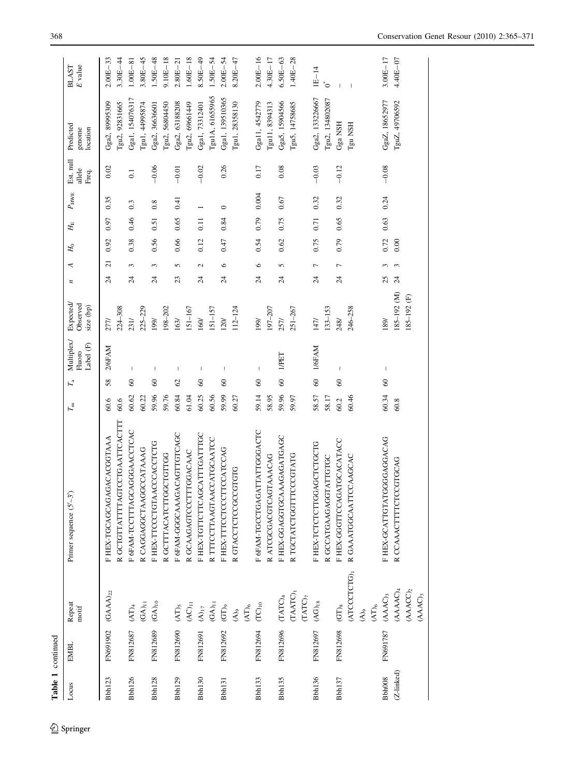|                    | Table 1 continued |                                    |                               |                   |                     |                                   |                                          |                  |                |             |             |               |                              |                                 |                         |
|--------------------|-------------------|------------------------------------|-------------------------------|-------------------|---------------------|-----------------------------------|------------------------------------------|------------------|----------------|-------------|-------------|---------------|------------------------------|---------------------------------|-------------------------|
| Locus              | EMBL              | Repeat<br>motif                    | Primer sequence $(5'-3)$      | $\mathcal{T}_{m}$ | $\Gamma_{\rm a}$    | Multiplex/<br>Label (F)<br>Fluoro | <b>Expected</b><br>Observed<br>size (bp) | $\boldsymbol{z}$ | ₹              | $H_{\rm 0}$ | $H_{\rm E}$ | $P_{\rm HWE}$ | Est. null<br>allele<br>Freq. | Predicted<br>genome<br>location | E value<br><b>BLAST</b> |
| Bbh <sub>123</sub> | FN691902          | $(AAA)_{22}$                       | F HEX-TGCAGCAGAGACGGGTAAA     | 60.6              | 58                  | 2/6FAM                            | <b>Z77/</b>                              | $\overline{c}$   | $\overline{z}$ | 0.92        | 0.97        | 0.35          | 0.02                         | Gga2, 89995309                  | $2.00E - 33$            |
|                    |                   |                                    | R GCTGTTATTTAGTCCTGAATTCACTTT | 60.6              |                     |                                   | $224 - 308$                              |                  |                |             |             |               |                              | Tgu2, 92831665                  | $3.30E - 44$            |
| Bbh126             | FN812687 (AT)4    |                                    | F 6FAM-TCCTTTAGCAGGGAACCTCAC  | 60.62             | $\degree$           | $\overline{\phantom{a}}$          | 23 <sub>I</sub>                          | $\overline{24}$  | 3              | 0.38        | 0.46        | 0.3           | $\overline{0}$ .             | Gga1, 154076317                 | $1.00E - 81$            |
|                    |                   | $(GA)_{11}$                        | R CAGGAGGCTAAGGCCATAAAG       | 60.22             |                     |                                   | 225-229                                  |                  |                |             |             |               |                              | Tgu1, 44995874                  | $3.80E - 45$            |
| <b>Bbh128</b>      | FN812689          | $(GA)_{10}$                        | F HEX-TTCCCTGTAACCCACCTCTG    | 59.96             | $\degree$           | $\mathbf{I}$                      | 199                                      | $\overline{24}$  | $\mathfrak{g}$ | 0.56        | 0.51        | 0.8           | $-0.06$                      | Gga2, 36636601                  | $1.50E - 48$            |
|                    |                   |                                    | R GCTTACATCTTGGCTGTTGG        | 59.76             |                     |                                   | 198-202                                  |                  |                |             |             |               |                              | Tgu2, 56804450                  | $9.10E - 18$            |
| Bbh129             | FN812690          | $\rm{(AT)_5}$                      | F 6FAM-GGGCAAAGACAGTTGTCAGC   | 60.84             | $\mathcal{O}$       | H                                 | 163/                                     | 23               | 5              | 0.66        | 0.65        | 0.41          | $-0.01$                      | Gga2, 63188208                  | $2.80E - 21$            |
|                    |                   | $(AC)_{11}$                        | R GCAAGAGTCCCTTTGGACAAC       | 61.04             |                     |                                   | $151 - 167$                              |                  |                |             |             |               |                              | Tgu2, 69661449                  | $1.60E - 18$            |
| Bbh130             | FN812691          | $(\mathsf{A})_{17}$                | F HEX-TGTTCTTCAGCATTTGATTGC   | 60.25             | $\infty$            | т                                 | 160/                                     | $\overline{24}$  | $\mathbf 2$    | 0.12        | 0.11        |               | $-0.02$                      | Gga1, 73312401                  | $8.50E - 49$            |
|                    |                   | $\left(\mathrm{GA}\right)_{11}$    | R TTTCCTTAAGTAACCATGCAATCC    | 60.56             |                     |                                   | $51 - 157$                               |                  |                |             |             |               |                              | Tgu1A, 61655965                 | $1.50E - 54$            |
| Bbh <sub>131</sub> | FN812692          | $\widehat{\text{G}}$ )<br>of       | F HEX-TTTCCTCCCTTCCATCCAG     | 59.99             | $\pmb{\mathcal{S}}$ |                                   | 120                                      | $\overline{24}$  | ७              | 0.47        | 0.84        | $\circ$       | 0.26                         | Gga1, 139510365                 | $2.00E - 54$            |
|                    |                   | $(A)_9$                            | R GTACCTCTCCGCCGTGTG          | 60.27             |                     |                                   | $112 - 124$                              |                  |                |             |             |               |                              | Tgu1, 28358130                  | $8.20E - 47$            |
|                    |                   | $(AT)_6$                           |                               |                   |                     |                                   |                                          |                  |                |             |             |               |                              |                                 |                         |
| Bbh <sub>133</sub> | FN812694          | $\rm{(TC)_{10}}$                   | F 6FAM-TGCCTGAGATTATTGGGACTC  | 59.14             | $\degree$           |                                   | 199                                      | $\overline{24}$  | $\circ$        | 0.54        | 0.79        | 0.004         | 0.17                         | Gga11, 4542779                  | $2.00E - 16$            |
|                    |                   |                                    | R ATCGCGACGTCAGTAAACAG        | 58.95             |                     |                                   | 197-207                                  |                  |                |             |             |               |                              | Tgu11, 8394313                  | $4.30E - 17$            |
| Bbh135             | FN812696 (TATC)4  |                                    | F HEX-GGAGGTGCAAAGAGATGAGC    | 59.96             | $\degree$           | <b>IVPET</b>                      | 257/                                     | $\overline{24}$  | 5              | 0.62        | 0.75        | 0.67          | 0.08                         | Gga5, 15904566                  | $6.50E - 63$            |
|                    |                   | (TAATC) <sub>1</sub>               | R TGCTATCTGGTTTCCCGTATG       | 59.97             |                     |                                   | $251 - 267$                              |                  |                |             |             |               |                              | Tgu5, 14758685                  | $1.40E - 28$            |
|                    |                   | $\rm(TATC)_7$                      |                               |                   |                     |                                   |                                          |                  |                |             |             |               |                              |                                 |                         |
| Bbh136             | FN812697          | $\left( \mathrm{AG} \right)_{18}$  | F HEX-TCTCTCTTGGAGCTCTGCTG    | 58.57             | 60                  | 1/6FAM                            | 147/                                     | $\overline{24}$  | $\overline{ }$ | 0.75        | 0.71        | 0.32          | $-0.03$                      | Gga2, 133226667                 | $LE-14$                 |
|                    |                   |                                    | R GCCATGAAGAGGTATTGTGC        | 58.17             |                     |                                   | $133 - 153$                              |                  |                |             |             |               |                              | Tgu2, 134802087                 | $\mathbf{C}^*$          |
| Bbh <sub>137</sub> | FN812698          | $(GT)_{8}$                         | F HEX-GGGTTCCAGATGCACATACC    | 60.2              | $\degree$           |                                   | 248/                                     | $\overline{24}$  | 1              | 0.79        | 0.65        | 0.32          | $-0.12$                      | Gga NSH                         | $\overline{1}$          |
|                    |                   | (ATCCCTCTG)1                       | CCAAGCAC<br>R GAAATGGCAATT    | 60.46             |                     |                                   | 246-258                                  |                  |                |             |             |               |                              | Tgu NSH                         | $\overline{1}$          |
|                    |                   | $\hat{A}$ ) <sub>9</sub>           |                               |                   |                     |                                   |                                          |                  |                |             |             |               |                              |                                 |                         |
|                    |                   | $\rm (AT)_6$                       |                               |                   |                     |                                   |                                          |                  |                |             |             |               |                              |                                 |                         |
| Bbh008             | FN691787          | ${\sf (AAA)}_3$                    | F HEX-GCATIGTATGGGGAGGACAG    | 60.34             | $\infty$            | L                                 | 189                                      | 25               |                | 0.72        | 0.63        | 0.24          | $-0.08$                      | GgaZ, 18652977                  | $3.00E - 17$            |
| (Z-linked)         |                   | (AAAAC) <sub>4</sub>               | R CCAAACTTTCTCCGTGCAG         | 60.8              |                     |                                   | 185-192 (M)                              | $\overline{24}$  | 3              | 0.00        |             |               |                              | TguZ, 49706592                  | $4.40E - 07$            |
|                    |                   | (AAACC) <sub>2</sub><br>$(AAAC)_3$ |                               |                   |                     |                                   | 185-192 (F)                              |                  |                |             |             |               |                              |                                 |                         |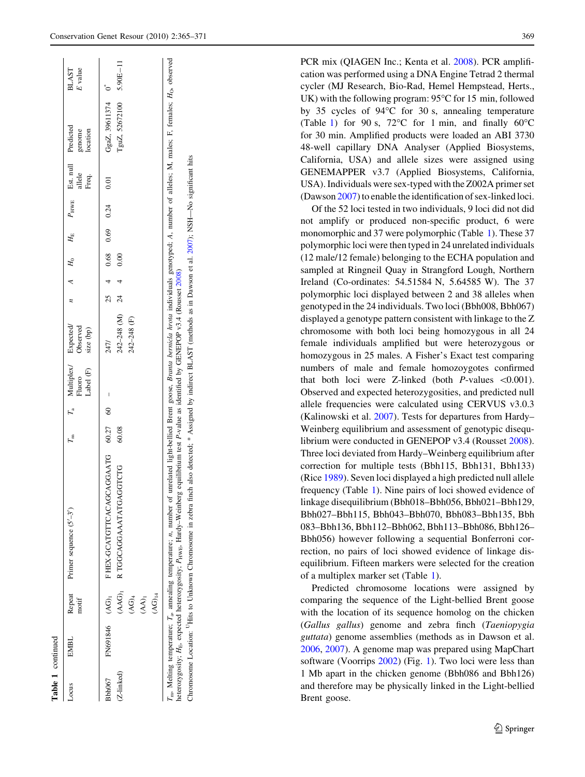$|$   $\vec{e}$ 

| Locus                       | EMBL                       | motif                                                               | Repeat Primer sequence $(5'-3')$                                                                                                                                                                                                                                                                                                                                                                          |       | Label (F) | $T_{\rm m}$ $T_{\rm a}$ Multiplex/ Expected/<br>Fluoro Observed<br>Observed<br>size (bp) |       |  |                                      | <i>n</i> $A$ $H_0$ $H_E$ $P_{HWE}$ Est. null Predicted<br>allele<br>Freq. | genome<br>location                     | <b>BLAST</b><br>E value |
|-----------------------------|----------------------------|---------------------------------------------------------------------|-----------------------------------------------------------------------------------------------------------------------------------------------------------------------------------------------------------------------------------------------------------------------------------------------------------------------------------------------------------------------------------------------------------|-------|-----------|------------------------------------------------------------------------------------------|-------|--|--------------------------------------|---------------------------------------------------------------------------|----------------------------------------|-------------------------|
| (Z-linked)<br><b>Bbh067</b> | FN691846 (AG) <sub>1</sub> | $\widetilde{A}$ G) <sub>14</sub><br>$(AG)$ <sub>4</sub><br>$(AA)_1$ | FHEX-GCATGTTCACAGCAGGAATG 60.27 60<br>(AAG) <sub>1</sub> R TGGCAGGAAATATGAGGTCTG                                                                                                                                                                                                                                                                                                                          | 60.08 |           | $242 - 248$ (M) $24$<br>242-248 (F)<br>247/                                              | 40.00 |  | $25 \t4 \t0.68 \t0.69 \t0.24 \t0.01$ |                                                                           | GgaZ, 39611374 $0^*$<br>TguZ, 52672100 | $5.90E - 11$            |
|                             |                            |                                                                     | Tan Melting temperature; T <sub>an</sub> annealing temperature; n, number of unrelated light-bellied Brent goose, Branta bernicia hrota individuals genotyped; A, number of alleles; M, males; F, females; H <sub>O</sub> , observed<br>heterozygosity; H <sub>E</sub> , expected heterozygosity; P <sub>HWE</sub> , Hardy-Weinberg equilibrium test P-value as identified by GENEPOP v3.4 (Rousset 2008) |       |           |                                                                                          |       |  |                                      |                                                                           |                                        |                         |

Chromosome Location: UHits to Unknown Chromosome in zebra finch also detected; \* Assigned by indirect BLAST (methods as in Dawson et al. [2007](#page-5-0)); NSH—No significant hits

Chromosome Location: <sup>11</sup>Hits to Unknown Chromosome in zebra finch also detected; \* Assigned by indirect BLAST (methods as in Dawson et al. 2007); NSH-No significant hits

Table 1 continued

continued

PCR mix (QIAGEN Inc.; Kenta et al. [2008\)](#page-5-0). PCR amplification was performed using a DNA Engine Tetrad 2 thermal cycler (MJ Research, Bio-Rad, Hemel Hempstead, Herts., UK) with the following program:  $95^{\circ}$ C for 15 min, followed by 35 cycles of  $94^{\circ}$ C for 30 s, annealing temperature (Table [1\)](#page-1-0) for 90 s,  $72^{\circ}$ C for 1 min, and finally  $60^{\circ}$ C for 30 min. Amplified products were loaded an ABI 3730 48-well capillary DNA Analyser (Applied Biosystems, California, USA) and allele sizes were assigned using GENEMAPPER v3.7 (Applied Biosystems, California, USA). Individuals were sex-typed with the Z002A primer set (Dawson [2007\)](#page-5-0) to enable the identification of sex-linked loci.

Of the 52 loci tested in two individuals, 9 loci did not did not amplify or produced non-specific product, 6 were monomorphic and 37 were polymorphic (Table [1\)](#page-1-0). These 37 polymorphic loci were then typed in 24 unrelated individuals (12 male/12 female) belonging to the ECHA population and sampled at Ringneil Quay in Strangford Lough, Northern Ireland (Co-ordinates: 54.51584 N, 5.64585 W). The 37 polymorphic loci displayed between 2 and 38 alleles when genotyped in the 24 individuals. Two loci (Bbh008, Bbh067) displayed a genotype pattern consistent with linkage to the Z chromosome with both loci being homozygous in all 24 female individuals amplified but were heterozygous or homozygous in 25 males. A Fisher's Exact test comparing numbers of male and female homozoygotes confirmed that both loci were Z-linked (both *P*-values  $\leq 0.001$ ). Observed and expected heterozygosities, and predicted null allele frequencies were calculated using CERVUS v3.0.3 (Kalinowski et al. [2007\)](#page-5-0). Tests for departures from Hardy– Weinberg equilibrium and assessment of genotypic disequlibrium were conducted in GENEPOP v3.4 (Rousset [2008](#page-6-0)). Three loci deviated from Hardy–Weinberg equilibrium after correction for multiple tests (Bbh115, Bbh131, Bbh133) (Rice [1989\)](#page-6-0). Seven loci displayed a high predicted null allele frequency (Table [1](#page-1-0)). Nine pairs of loci showed evidence of linkage disequilibrium (Bbh018–Bbh056, Bbh021–Bbh129, Bbh027–Bbh115, Bbh043–Bbh070, Bbh083–Bbh135, Bbh 083–Bbh136, Bbh112–Bbh062, Bbh113–Bbh086, Bbh126– Bbh056) however following a sequential Bonferroni correction, no pairs of loci showed evidence of linkage disequilibrium. Fifteen markers were selected for the creation of a multiplex marker set (Table [1\)](#page-1-0).

Predicted chromosome locations were assigned by comparing the sequence of the Light-bellied Brent goose with the location of its sequence homolog on the chicken (Gallus gallus) genome and zebra finch (Taeniopygia guttata) genome assemblies (methods as in Dawson et al. [2006](#page-5-0), [2007](#page-5-0)). A genome map was prepared using MapChart software (Voorrips [2002](#page-6-0)) (Fig. [1\)](#page-5-0). Two loci were less than 1 Mb apart in the chicken genome (Bbh086 and Bbh126) and therefore may be physically linked in the Light-bellied Brent goose.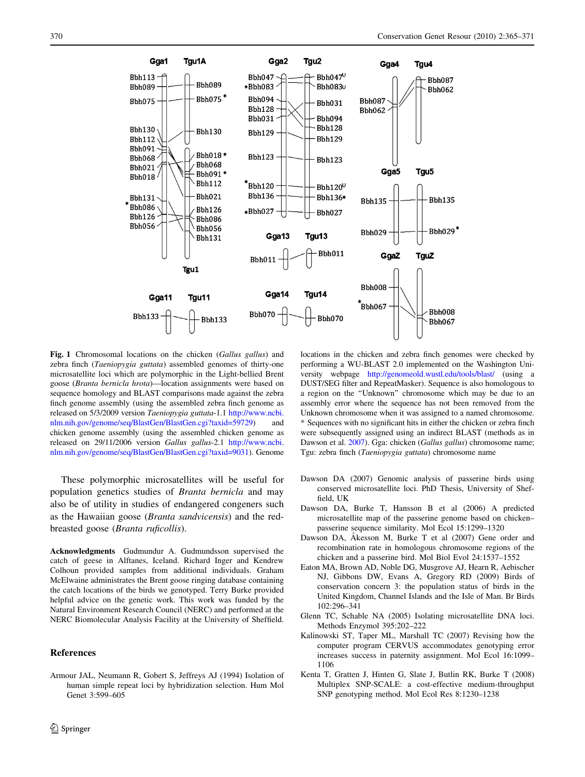<span id="page-5-0"></span>

Fig. 1 Chromosomal locations on the chicken (Gallus gallus) and zebra finch (Taeniopygia guttata) assembled genomes of thirty-one microsatellite loci which are polymorphic in the Light-bellied Brent goose (Branta bernicla hrota)—location assignments were based on sequence homology and BLAST comparisons made against the zebra finch genome assembly (using the assembled zebra finch genome as released on 5/3/2009 version Taeniopygia guttata-1.1 [http://www.ncbi.](http://www.ncbi.nlm.nih.gov/genome/seq/BlastGen/BlastGen.cgi?taxid=59729) [nlm.nih.gov/genome/seq/BlastGen/BlastGen.cgi?taxid=59729](http://www.ncbi.nlm.nih.gov/genome/seq/BlastGen/BlastGen.cgi?taxid=59729)) and chicken genome assembly (using the assembled chicken genome as released on 29/11/2006 version Gallus gallus-2.1 [http://www.ncbi.](http://www.ncbi.nlm.nih.gov/genome/seq/BlastGen/BlastGen.cgi?taxid=9031) [nlm.nih.gov/genome/seq/BlastGen/BlastGen.cgi?taxid=9031](http://www.ncbi.nlm.nih.gov/genome/seq/BlastGen/BlastGen.cgi?taxid=9031)). Genome

These polymorphic microsatellites will be useful for population genetics studies of Branta bernicla and may also be of utility in studies of endangered congeners such as the Hawaiian goose (Branta sandvicensis) and the redbreasted goose (Branta ruficollis).

Acknowledgments Gudmundur A. Gudmundsson supervised the catch of geese in Alftanes, Iceland. Richard Inger and Kendrew Colhoun provided samples from additional individuals. Graham McElwaine administrates the Brent goose ringing database containing the catch locations of the birds we genotyped. Terry Burke provided helpful advice on the genetic work. This work was funded by the Natural Environment Research Council (NERC) and performed at the NERC Biomolecular Analysis Facility at the University of Sheffield.

## References

Armour JAL, Neumann R, Gobert S, Jeffreys AJ (1994) Isolation of human simple repeat loci by hybridization selection. Hum Mol Genet 3:599–605

locations in the chicken and zebra finch genomes were checked by performing a WU-BLAST 2.0 implemented on the Washington University webpage <http://genomeold.wustl.edu/tools/blast/> (using a DUST/SEG filter and RepeatMasker). Sequence is also homologous to a region on the ''Unknown'' chromosome which may be due to an assembly error where the sequence has not been removed from the Unknown chromosome when it was assigned to a named chromosome. \* Sequences with no significant hits in either the chicken or zebra finch were subsequently assigned using an indirect BLAST (methods as in Dawson et al. 2007). Gga: chicken (Gallus gallus) chromosome name; Tgu: zebra finch (Taeniopygia guttata) chromosome name

- Dawson DA (2007) Genomic analysis of passerine birds using conserved microsatellite loci. PhD Thesis, University of Sheffield, UK
- Dawson DA, Burke T, Hansson B et al (2006) A predicted microsatellite map of the passerine genome based on chicken– passerine sequence similarity. Mol Ecol 15:1299–1320
- Dawson DA, Akesson M, Burke T et al (2007) Gene order and recombination rate in homologous chromosome regions of the chicken and a passerine bird. Mol Biol Evol 24:1537–1552
- Eaton MA, Brown AD, Noble DG, Musgrove AJ, Hearn R, Aebischer NJ, Gibbons DW, Evans A, Gregory RD (2009) Birds of conservation concern 3: the population status of birds in the United Kingdom, Channel Islands and the Isle of Man. Br Birds 102:296–341
- Glenn TC, Schable NA (2005) Isolating microsatellite DNA loci. Methods Enzymol 395:202–222
- Kalinowski ST, Taper ML, Marshall TC (2007) Revising how the computer program CERVUS accommodates genotyping error increases success in paternity assignment. Mol Ecol 16:1099– 1106
- Kenta T, Gratten J, Hinten G, Slate J, Butlin RK, Burke T (2008) Multiplex SNP-SCALE: a cost-effective medium-throughput SNP genotyping method. Mol Ecol Res 8:1230–1238